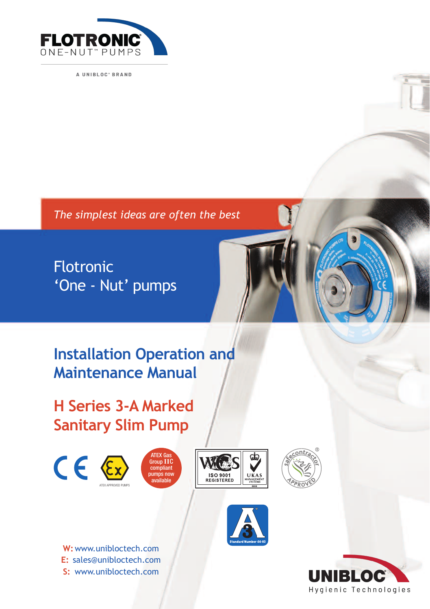

A UNIBLOC' BRAND

*The simplest ideas are often the best*

Flotronic 'One - Nut' pumps



**H Series 3-A Marked Sanitary Slim Pump**









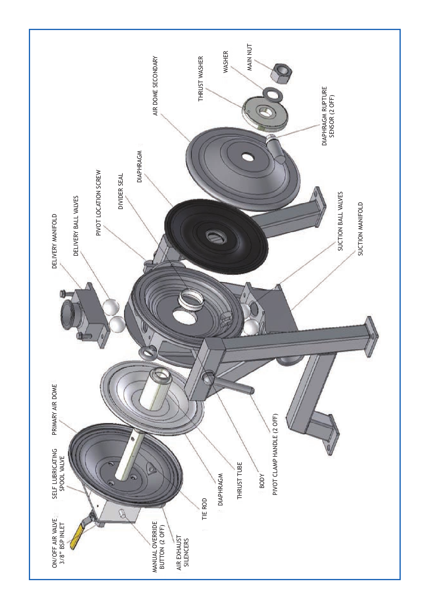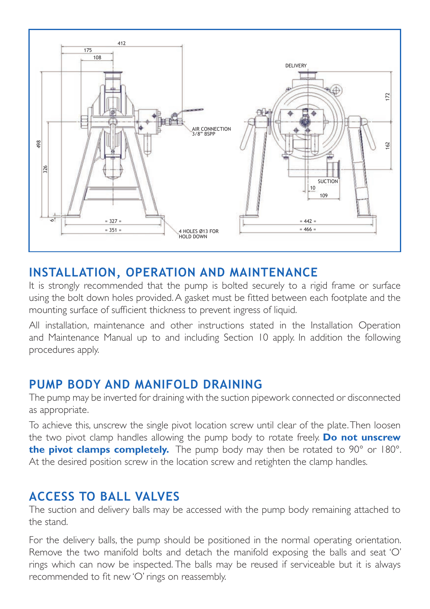

#### **INSTALLATION, OPERATION AND MAINTENANCE**

It is strongly recommended that the pump is bolted securely to a rigid frame or surface using the bolt down holes provided. A gasket must be fitted between each footplate and the mounting surface of sufficient thickness to prevent ingress of liquid.

All installation, maintenance and other instructions stated in the Installation Operation and Maintenance Manual up to and including Section 10 apply. In addition the following procedures apply.

## **PUMP BODY AND MANIFOLD DRAINING**

The pump may be inverted for draining with the suction pipework connected or disconnected as appropriate.

To achieve this, unscrew the single pivot location screw until clear of the plate. Then loosen the two pivot clamp handles allowing the pump body to rotate freely. **Do not unscrew the pivot clamps completely.** The pump body may then be rotated to 90° or 180°. At the desired position screw in the location screw and retighten the clamp handles.

# **ACCESS TO BALL VALVES**

The suction and delivery balls may be accessed with the pump body remaining attached to the stand.

For the delivery balls, the pump should be positioned in the normal operating orientation. Remove the two manifold bolts and detach the manifold exposing the balls and seat 'O' rings which can now be inspected. The balls may be reused if serviceable but it is always recommended to fit new 'O' rings on reassembly.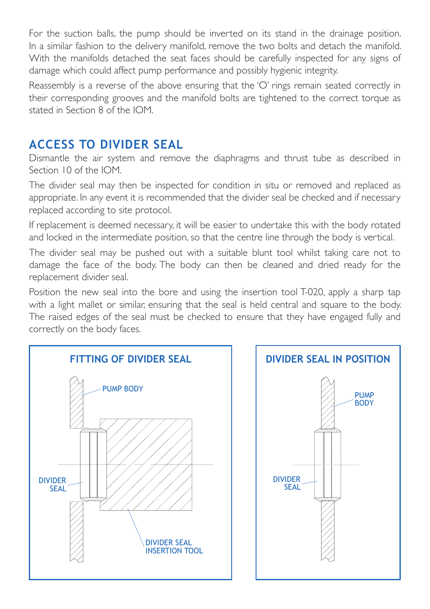For the suction balls, the pump should be inverted on its stand in the drainage position. In a similar fashion to the delivery manifold, remove the two bolts and detach the manifold. With the manifolds detached the seat faces should be carefully inspected for any signs of damage which could affect pump performance and possibly hygienic integrity.

Reassembly is a reverse of the above ensuring that the 'O' rings remain seated correctly in their corresponding grooves and the manifold bolts are tightened to the correct torque as stated in Section 8 of the IOM.

# **ACCESS TO DIVIDER SEAL**

Dismantle the air system and remove the diaphragms and thrust tube as described in Section 10 of the IOM.

The divider seal may then be inspected for condition in situ or removed and replaced as appropriate. In any event it is recommended that the divider seal be checked and if necessary replaced according to site protocol.

If replacement is deemed necessary, it will be easier to undertake this with the body rotated and locked in the intermediate position, so that the centre line through the body is vertical.

The divider seal may be pushed out with a suitable blunt tool whilst taking care not to damage the face of the body. The body can then be cleaned and dried ready for the replacement divider seal.

Position the new seal into the bore and using the insertion tool T-020, apply a sharp tap with a light mallet or similar, ensuring that the seal is held central and square to the body. The raised edges of the seal must be checked to ensure that they have engaged fully and correctly on the body faces.

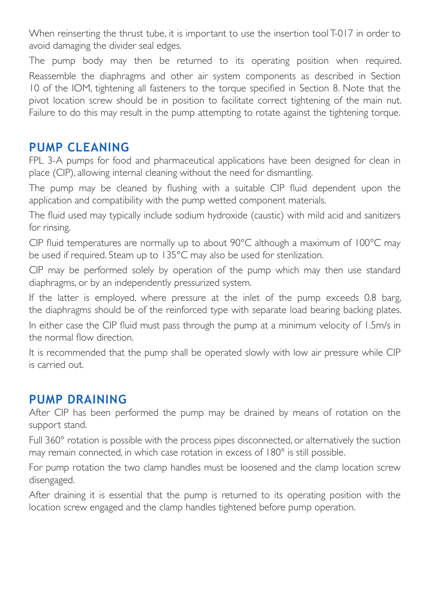When reinserting the thrust tube, it is important to use the insertion tool T-017 in order to avoid damaging the divider seal edges.

The pump body may then be returned to its operating position when required. Reassemble the diaphragms and other air system components as described in Section 10 of the IOM, tightening all fasteners to the torque specified in Section 8. Note that the pivot location screw should be in position to facilitate correct tightening of the main nut. Failure to do this may result in the pump attempting to rotate against the tightening torque.

### **PUMP CLEANING**

FPL 3-A pumps for food and pharmaceutical applications have been designed for clean in place (CIP), allowing internal cleaning without the need for dismantling.

The pump may be cleaned by flushing with a suitable CIP fluid dependent upon the application and compatibility with the pump wetted component materials.

The fluid used may typically include sodium hydroxide (caustic) with mild acid and sanitizers for rinsing.

CIP fluid temperatures are normally up to about 90°C although a maximum of 100°C may be used if required. Steam up to 135°C may also be used for sterilization.

CIP may be performed solely by operation of the pump which may then use standard diaphragms, or by an independently pressurized system.

If the latter is employed, where pressure at the inlet of the pump exceeds 0.8 barg, the diaphragms should be of the reinforced type with separate load bearing backing plates.

In either case the CIP fluid must pass through the pump at a minimum velocity of 1.5m/s in the normal flow direction.

It is recommended that the pump shall be operated slowly with low air pressure while CIP is carried out.

## **PUMP DRAINING**

After CIP has been performed the pump may be drained by means of rotation on the support stand.

Full 360° rotation is possible with the process pipes disconnected, or alternatively the suction may remain connected, in which case rotation in excess of 180° is still possible.

For pump rotation the two clamp handles must be loosened and the clamp location screw disengaged.

After draining it is essential that the pump is returned to its operating position with the location screw engaged and the clamp handles tightened before pump operation.